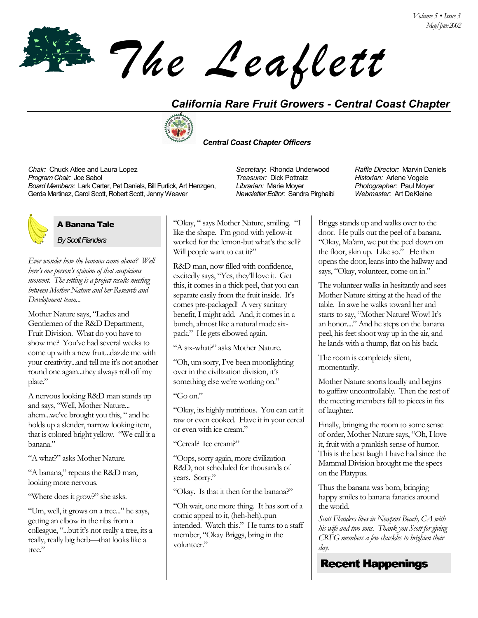*The Leaflett*

## *California Rare Fruit Growers - Central Coast Chapter*



#### *Central Coast Chapter Officers*

*Chair:* Chuck Atlee and Laura Lopez *Secretary*: Rhonda Underwood *Raffle Director:* Marvin Daniels *Program Chair:* Joe Sabol *Treasurer:* Dick Pottratz *Historian:* Arlene Vogele *Board Members:* Lark Carter, Pet Daniels, Bill Furtick, Art Henzgen, Gerda Martinez, Carol Scott, Robert Scott, Jenny Weaver

## A Banana Tale

*By Scott Flanders*

*Ever wonder how the banana came about? Well hereís one personís opinion of that auspicious moment. The setting is a project results meeting between Mother Nature and her Research and Development team...* 

Mother Nature says, "Ladies and Gentlemen of the R&D Department, Fruit Division. What do you have to show me? Youíve had several weeks to come up with a new fruit...dazzle me with your creativity...and tell me it's not another round one again...they always roll off my plate."

A nervous looking R&D man stands up and says, "Well, Mother Nature... ahem...we've brought you this, " and he holds up a slender, narrow looking item, that is colored bright yellow. "We call it a banana."

"A what?" asks Mother Nature.

"A banana," repeats the R&D man, looking more nervous.

"Where does it grow?" she asks.

ìUm, well, it grows on a tree...î he says, getting an elbow in the ribs from a colleague, "...but it's not really a tree, its a really, really big herb-that looks like a tree."

"Okay, " says Mother Nature, smiling. "I like the shape. I'm good with yellow-it worked for the lemon-but what's the sell? Will people want to eat it?"

R&D man, now filled with confidence, excitedly says, "Yes, they'll love it. Get this, it comes in a thick peel, that you can separate easily from the fruit inside. It's comes pre-packaged! A very sanitary benefit, I might add. And, it comes in a bunch, almost like a natural made sixpack." He gets elbowed again.

"A six-what?" asks Mother Nature.

"Oh, um sorry, I've been moonlighting over in the civilization division, it's something else we're working on."

" $Go$  on."

ìOkay, its highly nutritious. You can eat it raw or even cooked. Have it in your cereal or even with ice cream."

"Cereal? Ice cream?"

ìOops, sorry again, more civilization R&D, not scheduled for thousands of years. Sorry."

"Okay. Is that it then for the banana?"

ìOh wait, one more thing. It has sort of a comic appeal to it, (heh-heh)..pun intended. Watch this." He turns to a staff member, "Okay Briggs, bring in the volunteer."

*Librarian:* Marie Moyer *Newsletter Editor:* Sandra Pirghaibi

*Photographer:* Paul Moyer *Webmaster:* Art DeKleine

Briggs stands up and walks over to the door. He pulls out the peel of a banana. ìOkay, Maíam, we put the peel down on the floor, skin up. Like so." He then opens the door, leans into the hallway and says, "Okay, volunteer, come on in."

The volunteer walks in hesitantly and sees Mother Nature sitting at the head of the table. In awe he walks toward her and starts to say, "Mother Nature! Wow! It's an honor...." And he steps on the banana peel, his feet shoot way up in the air, and he lands with a thump, flat on his back.

The room is completely silent, momentarily.

Mother Nature snorts loudly and begins to guffaw uncontrollably. Then the rest of the meeting members fall to pieces in fits of laughter.

Finally, bringing the room to some sense of order, Mother Nature says, "Oh, I love it, fruit with a prankish sense of humor. This is the best laugh I have had since the Mammal Division brought me the specs on the Platypus.

Thus the banana was born, bringing happy smiles to banana fanatics around the world.

*Scott Flanders lives in Newport Beach, CA with his wife and two sons. Thank you Scott for giving CRFG members a few chuckles to brighten their day.* 

# Recent Happenings